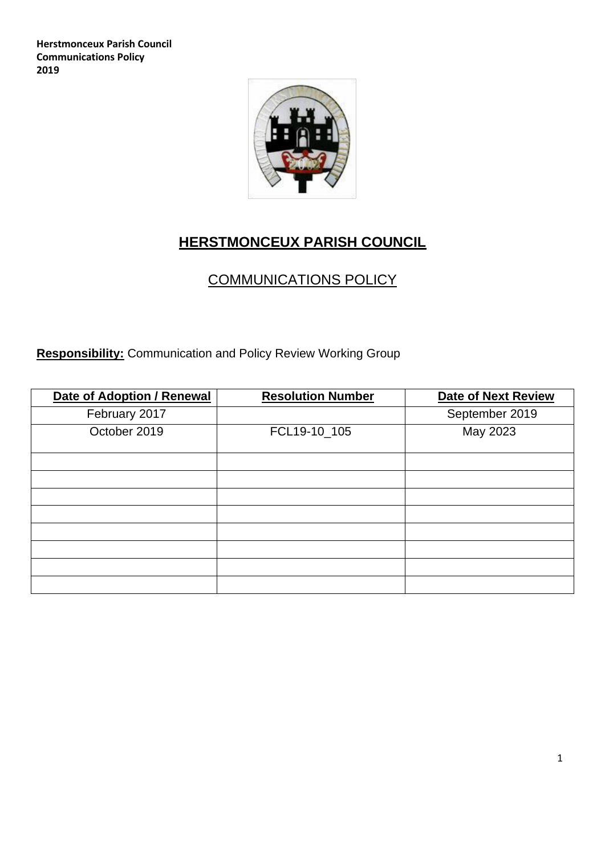**Herstmonceux Parish Council Communications Policy 2019**



# **HERSTMONCEUX PARISH COUNCIL**

# COMMUNICATIONS POLICY

**Responsibility:** Communication and Policy Review Working Group

| <b>Date of Adoption / Renewal</b> | <b>Resolution Number</b> | <b>Date of Next Review</b> |
|-----------------------------------|--------------------------|----------------------------|
| February 2017                     |                          | September 2019             |
| October 2019                      | FCL19-10_105             | May 2023                   |
|                                   |                          |                            |
|                                   |                          |                            |
|                                   |                          |                            |
|                                   |                          |                            |
|                                   |                          |                            |
|                                   |                          |                            |
|                                   |                          |                            |
|                                   |                          |                            |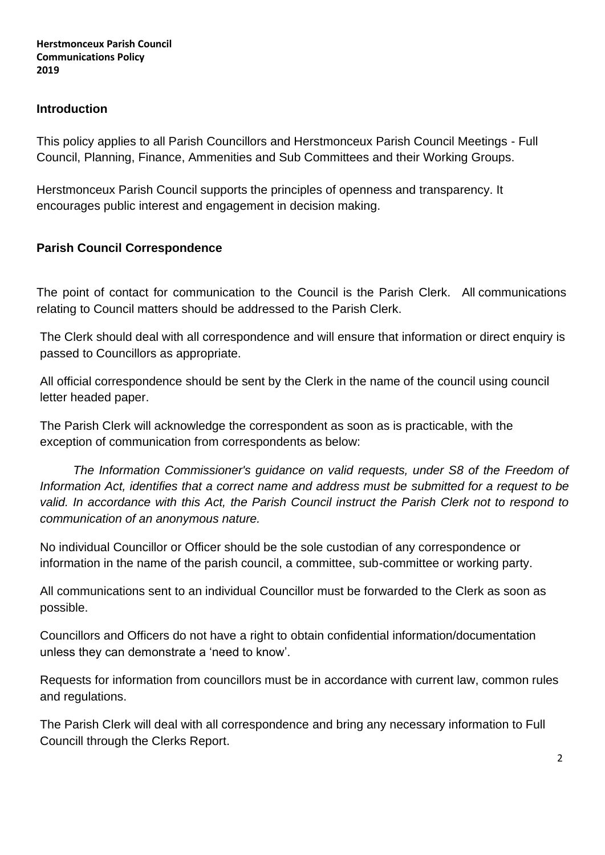#### **Introduction**

This policy applies to all Parish Councillors and Herstmonceux Parish Council Meetings - Full Council, Planning, Finance, Ammenities and Sub Committees and their Working Groups.

Herstmonceux Parish Council supports the principles of openness and transparency. It encourages public interest and engagement in decision making.

# **Parish Council Correspondence**

The point of contact for communication to the Council is the Parish Clerk. All communications relating to Council matters should be addressed to the Parish Clerk.

The Clerk should deal with all correspondence and will ensure that information or direct enquiry is passed to Councillors as appropriate.

All official correspondence should be sent by the Clerk in the name of the council using council letter headed paper.

The Parish Clerk will acknowledge the correspondent as soon as is practicable, with the exception of communication from correspondents as below:

*The Information Commissioner's guidance on valid requests, under S8 of the Freedom of Information Act, identifies that a correct name and address must be submitted for a request to be*  valid. In accordance with this Act, the Parish Council instruct the Parish Clerk not to respond to *communication of an anonymous nature.*

No individual Councillor or Officer should be the sole custodian of any correspondence or information in the name of the parish council, a committee, sub-committee or working party.

All communications sent to an individual Councillor must be forwarded to the Clerk as soon as possible.

Councillors and Officers do not have a right to obtain confidential information/documentation unless they can demonstrate a 'need to know'.

Requests for information from councillors must be in accordance with current law, common rules and regulations.

The Parish Clerk will deal with all correspondence and bring any necessary information to Full Councill through the Clerks Report.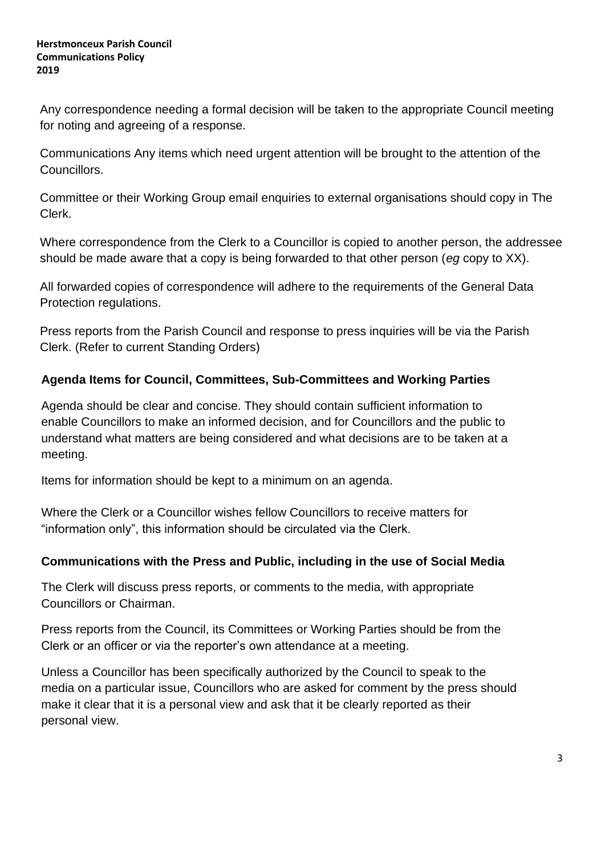Any correspondence needing a formal decision will be taken to the appropriate Council meeting for noting and agreeing of a response.

Communications Any items which need urgent attention will be brought to the attention of the Councillors.

Committee or their Working Group email enquiries to external organisations should copy in The Clerk.

Where correspondence from the Clerk to a Councillor is copied to another person, the addressee should be made aware that a copy is being forwarded to that other person (*eg* copy to XX).

All forwarded copies of correspondence will adhere to the requirements of the General Data Protection regulations.

Press reports from the Parish Council and response to press inquiries will be via the Parish Clerk. (Refer to current Standing Orders)

# **Agenda Items for Council, Committees, Sub-Committees and Working Parties**

Agenda should be clear and concise. They should contain sufficient information to enable Councillors to make an informed decision, and for Councillors and the public to understand what matters are being considered and what decisions are to be taken at a meeting.

Items for information should be kept to a minimum on an agenda.

Where the Clerk or a Councillor wishes fellow Councillors to receive matters for "information only", this information should be circulated via the Clerk.

## **Communications with the Press and Public, including in the use of Social Media**

The Clerk will discuss press reports, or comments to the media, with appropriate Councillors or Chairman.

Press reports from the Council, its Committees or Working Parties should be from the Clerk or an officer or via the reporter's own attendance at a meeting.

Unless a Councillor has been specifically authorized by the Council to speak to the media on a particular issue, Councillors who are asked for comment by the press should make it clear that it is a personal view and ask that it be clearly reported as their personal view.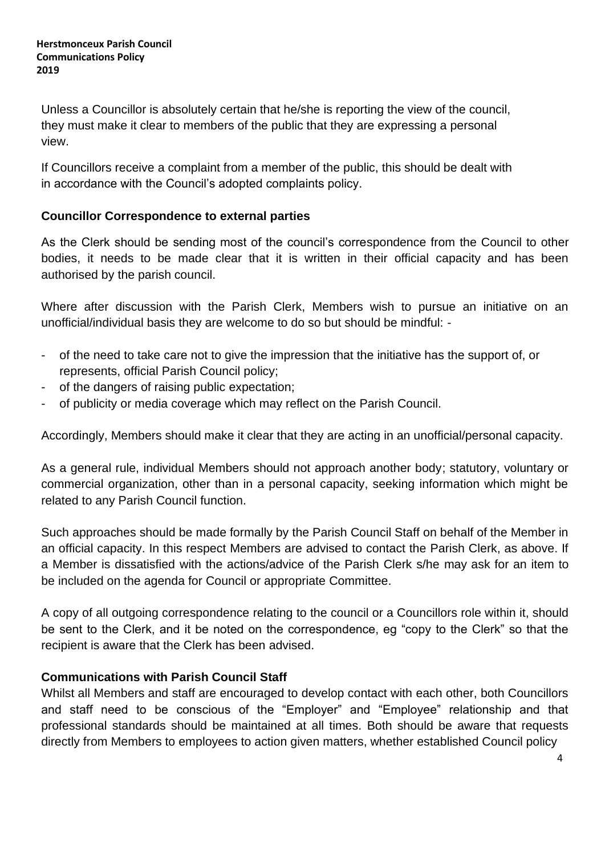Unless a Councillor is absolutely certain that he/she is reporting the view of the council, they must make it clear to members of the public that they are expressing a personal view.

If Councillors receive a complaint from a member of the public, this should be dealt with in accordance with the Council's adopted complaints policy.

# **Councillor Correspondence to external parties**

As the Clerk should be sending most of the council's correspondence from the Council to other bodies, it needs to be made clear that it is written in their official capacity and has been authorised by the parish council.

Where after discussion with the Parish Clerk, Members wish to pursue an initiative on an unofficial/individual basis they are welcome to do so but should be mindful: -

- of the need to take care not to give the impression that the initiative has the support of, or represents, official Parish Council policy;
- of the dangers of raising public expectation;
- of publicity or media coverage which may reflect on the Parish Council.

Accordingly, Members should make it clear that they are acting in an unofficial/personal capacity.

As a general rule, individual Members should not approach another body; statutory, voluntary or commercial organization, other than in a personal capacity, seeking information which might be related to any Parish Council function.

Such approaches should be made formally by the Parish Council Staff on behalf of the Member in an official capacity. In this respect Members are advised to contact the Parish Clerk, as above. If a Member is dissatisfied with the actions/advice of the Parish Clerk s/he may ask for an item to be included on the agenda for Council or appropriate Committee.

A copy of all outgoing correspondence relating to the council or a Councillors role within it, should be sent to the Clerk, and it be noted on the correspondence, eg "copy to the Clerk" so that the recipient is aware that the Clerk has been advised.

## **Communications with Parish Council Staff**

Whilst all Members and staff are encouraged to develop contact with each other, both Councillors and staff need to be conscious of the "Employer" and "Employee" relationship and that professional standards should be maintained at all times. Both should be aware that requests directly from Members to employees to action given matters, whether established Council policy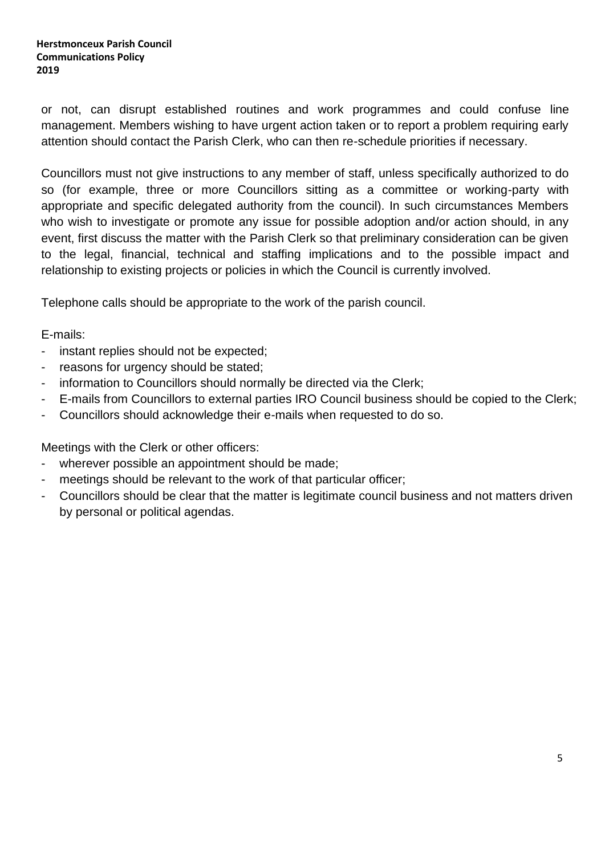or not, can disrupt established routines and work programmes and could confuse line management. Members wishing to have urgent action taken or to report a problem requiring early attention should contact the Parish Clerk, who can then re-schedule priorities if necessary.

Councillors must not give instructions to any member of staff, unless specifically authorized to do so (for example, three or more Councillors sitting as a committee or working-party with appropriate and specific delegated authority from the council). In such circumstances Members who wish to investigate or promote any issue for possible adoption and/or action should, in any event, first discuss the matter with the Parish Clerk so that preliminary consideration can be given to the legal, financial, technical and staffing implications and to the possible impact and relationship to existing projects or policies in which the Council is currently involved.

Telephone calls should be appropriate to the work of the parish council.

E-mails:

- instant replies should not be expected;
- reasons for urgency should be stated;
- information to Councillors should normally be directed via the Clerk;
- E-mails from Councillors to external parties IRO Council business should be copied to the Clerk;
- Councillors should acknowledge their e-mails when requested to do so.

Meetings with the Clerk or other officers:

- wherever possible an appointment should be made;
- meetings should be relevant to the work of that particular officer;
- Councillors should be clear that the matter is legitimate council business and not matters driven by personal or political agendas.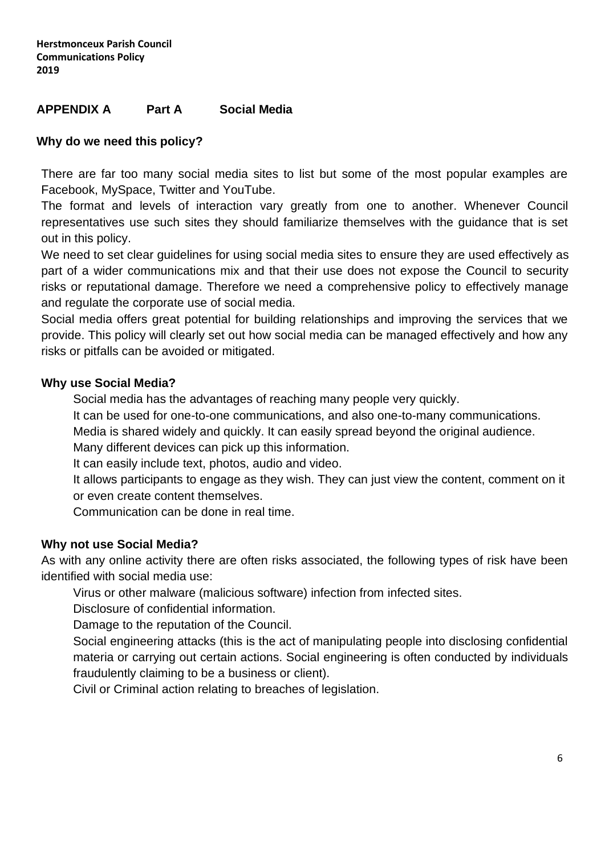### **APPENDIX A Part A Social Media**

### **Why do we need this policy?**

There are far too many social media sites to list but some of the most popular examples are Facebook, MySpace, Twitter and YouTube.

The format and levels of interaction vary greatly from one to another. Whenever Council representatives use such sites they should familiarize themselves with the guidance that is set out in this policy.

We need to set clear guidelines for using social media sites to ensure they are used effectively as part of a wider communications mix and that their use does not expose the Council to security risks or reputational damage. Therefore we need a comprehensive policy to effectively manage and regulate the corporate use of social media.

Social media offers great potential for building relationships and improving the services that we provide. This policy will clearly set out how social media can be managed effectively and how any risks or pitfalls can be avoided or mitigated.

#### **Why use Social Media?**

Social media has the advantages of reaching many people very quickly.

It can be used for one-to-one communications, and also one-to-many communications.

Media is shared widely and quickly. It can easily spread beyond the original audience.

Many different devices can pick up this information.

It can easily include text, photos, audio and video.

It allows participants to engage as they wish. They can just view the content, comment on it or even create content themselves.

Communication can be done in real time.

#### **Why not use Social Media?**

As with any online activity there are often risks associated, the following types of risk have been identified with social media use:

Virus or other malware (malicious software) infection from infected sites.

Disclosure of confidential information.

Damage to the reputation of the Council.

Social engineering attacks (this is the act of manipulating people into disclosing confidential materia or carrying out certain actions. Social engineering is often conducted by individuals fraudulently claiming to be a business or client).

Civil or Criminal action relating to breaches of legislation.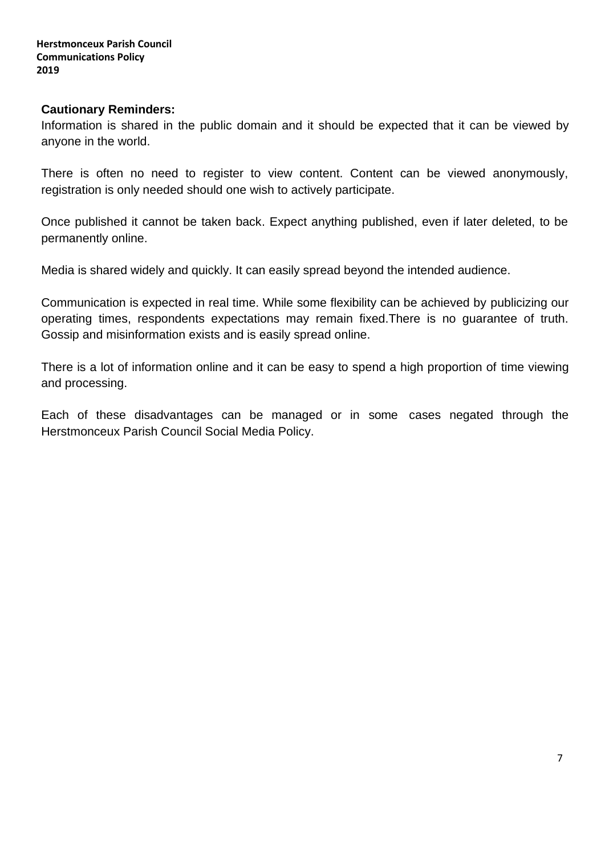#### **Cautionary Reminders:**

Information is shared in the public domain and it should be expected that it can be viewed by anyone in the world.

There is often no need to register to view content. Content can be viewed anonymously, registration is only needed should one wish to actively participate.

Once published it cannot be taken back. Expect anything published, even if later deleted, to be permanently online.

Media is shared widely and quickly. It can easily spread beyond the intended audience.

Communication is expected in real time. While some flexibility can be achieved by publicizing our operating times, respondents expectations may remain fixed.There is no guarantee of truth. Gossip and misinformation exists and is easily spread online.

There is a lot of information online and it can be easy to spend a high proportion of time viewing and processing.

Each of these disadvantages can be managed or in some cases negated through the Herstmonceux Parish Council Social Media Policy.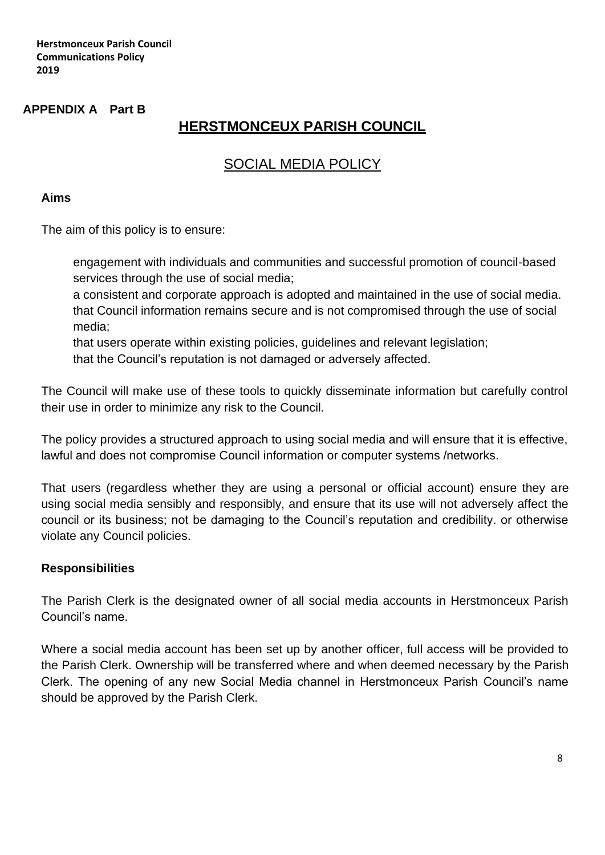### **APPENDIX A Part B**

# **HERSTMONCEUX PARISH COUNCIL**

# SOCIAL MEDIA POLICY

#### **Aims**

The aim of this policy is to ensure:

engagement with individuals and communities and successful promotion of council-based services through the use of social media;

a consistent and corporate approach is adopted and maintained in the use of social media. that Council information remains secure and is not compromised through the use of social media;

that users operate within existing policies, guidelines and relevant legislation;

that the Council's reputation is not damaged or adversely affected.

The Council will make use of these tools to quickly disseminate information but carefully control their use in order to minimize any risk to the Council.

The policy provides a structured approach to using social media and will ensure that it is effective, lawful and does not compromise Council information or computer systems /networks.

That users (regardless whether they are using a personal or official account) ensure they are using social media sensibly and responsibly, and ensure that its use will not adversely affect the council or its business; not be damaging to the Council's reputation and credibility. or otherwise violate any Council policies.

#### **Responsibilities**

The Parish Clerk is the designated owner of all social media accounts in Herstmonceux Parish Council's name.

Where a social media account has been set up by another officer, full access will be provided to the Parish Clerk. Ownership will be transferred where and when deemed necessary by the Parish Clerk. The opening of any new Social Media channel in Herstmonceux Parish Council's name should be approved by the Parish Clerk.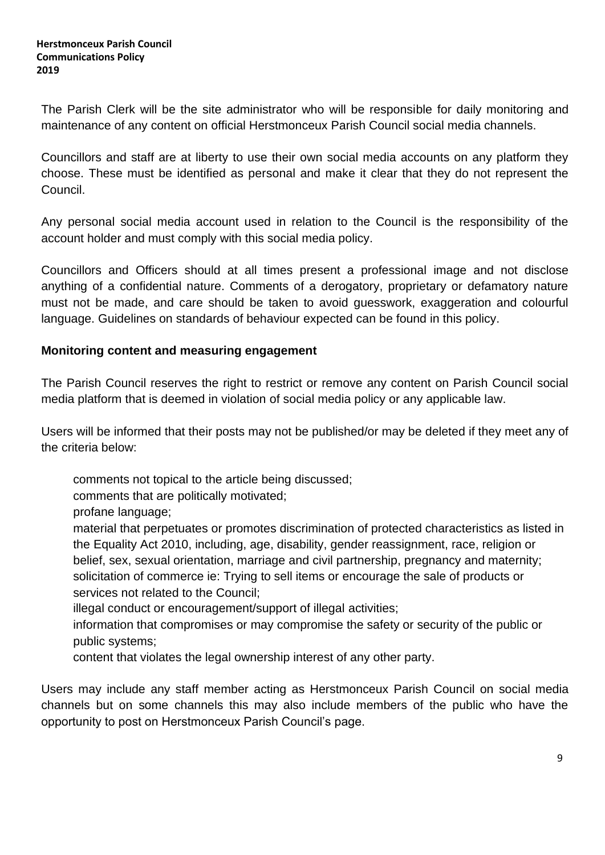The Parish Clerk will be the site administrator who will be responsible for daily monitoring and maintenance of any content on official Herstmonceux Parish Council social media channels.

Councillors and staff are at liberty to use their own social media accounts on any platform they choose. These must be identified as personal and make it clear that they do not represent the Council.

Any personal social media account used in relation to the Council is the responsibility of the account holder and must comply with this social media policy.

Councillors and Officers should at all times present a professional image and not disclose anything of a confidential nature. Comments of a derogatory, proprietary or defamatory nature must not be made, and care should be taken to avoid guesswork, exaggeration and colourful language. Guidelines on standards of behaviour expected can be found in this policy.

## **Monitoring content and measuring engagement**

The Parish Council reserves the right to restrict or remove any content on Parish Council social media platform that is deemed in violation of social media policy or any applicable law.

Users will be informed that their posts may not be published/or may be deleted if they meet any of the criteria below:

comments not topical to the article being discussed;

comments that are politically motivated;

profane language;

material that perpetuates or promotes discrimination of protected characteristics as listed in the Equality Act 2010, including, age, disability, gender reassignment, race, religion or belief, sex, sexual orientation, marriage and civil partnership, pregnancy and maternity; solicitation of commerce ie: Trying to sell items or encourage the sale of products or services not related to the Council;

illegal conduct or encouragement/support of illegal activities;

- information that compromises or may compromise the safety or security of the public or public systems;
- content that violates the legal ownership interest of any other party.

Users may include any staff member acting as Herstmonceux Parish Council on social media channels but on some channels this may also include members of the public who have the opportunity to post on Herstmonceux Parish Council's page.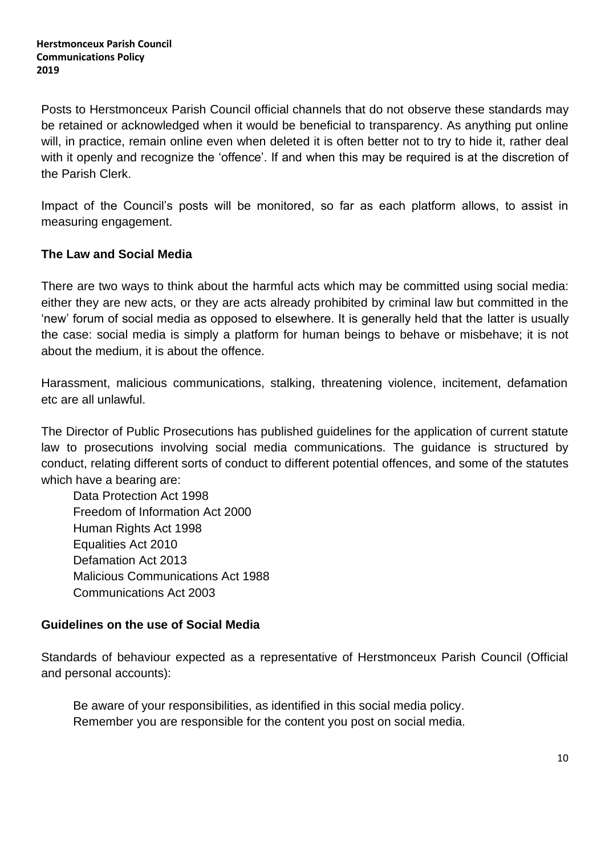Posts to Herstmonceux Parish Council official channels that do not observe these standards may be retained or acknowledged when it would be beneficial to transparency. As anything put online will, in practice, remain online even when deleted it is often better not to try to hide it, rather deal with it openly and recognize the 'offence'. If and when this may be required is at the discretion of the Parish Clerk.

Impact of the Council's posts will be monitored, so far as each platform allows, to assist in measuring engagement.

## **The Law and Social Media**

There are two ways to think about the harmful acts which may be committed using social media: either they are new acts, or they are acts already prohibited by criminal law but committed in the 'new' forum of social media as opposed to elsewhere. It is generally held that the latter is usually the case: social media is simply a platform for human beings to behave or misbehave; it is not about the medium, it is about the offence.

Harassment, malicious communications, stalking, threatening violence, incitement, defamation etc are all unlawful.

The Director of Public Prosecutions has published guidelines for the application of current statute law to prosecutions involving social media communications. The guidance is structured by conduct, relating different sorts of conduct to different potential offences, and some of the statutes which have a bearing are:

Data Protection Act 1998 Freedom of Information Act 2000 Human Rights Act 1998 Equalities Act 2010 Defamation Act 2013 Malicious Communications Act 1988 Communications Act 2003

## **Guidelines on the use of Social Media**

Standards of behaviour expected as a representative of Herstmonceux Parish Council (Official and personal accounts):

Be aware of your responsibilities, as identified in this social media policy. Remember you are responsible for the content you post on social media.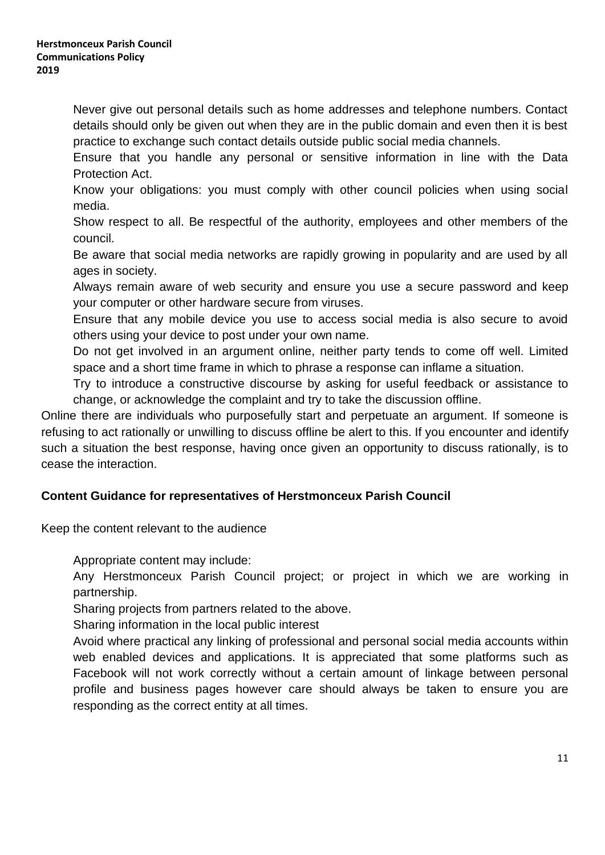Never give out personal details such as home addresses and telephone numbers. Contact details should only be given out when they are in the public domain and even then it is best practice to exchange such contact details outside public social media channels.

Ensure that you handle any personal or sensitive information in line with the Data Protection Act.

Know your obligations: you must comply with other council policies when using social media.

Show respect to all. Be respectful of the authority, employees and other members of the council.

Be aware that social media networks are rapidly growing in popularity and are used by all ages in society.

Always remain aware of web security and ensure you use a secure password and keep your computer or other hardware secure from viruses.

Ensure that any mobile device you use to access social media is also secure to avoid others using your device to post under your own name.

Do not get involved in an argument online, neither party tends to come off well. Limited space and a short time frame in which to phrase a response can inflame a situation.

Try to introduce a constructive discourse by asking for useful feedback or assistance to change, or acknowledge the complaint and try to take the discussion offline.

Online there are individuals who purposefully start and perpetuate an argument. If someone is refusing to act rationally or unwilling to discuss offline be alert to this. If you encounter and identify such a situation the best response, having once given an opportunity to discuss rationally, is to cease the interaction.

# **Content Guidance for representatives of Herstmonceux Parish Council**

Keep the content relevant to the audience

Appropriate content may include:

Any Herstmonceux Parish Council project; or project in which we are working in partnership.

Sharing projects from partners related to the above.

Sharing information in the local public interest

Avoid where practical any linking of professional and personal social media accounts within web enabled devices and applications. It is appreciated that some platforms such as Facebook will not work correctly without a certain amount of linkage between personal profile and business pages however care should always be taken to ensure you are responding as the correct entity at all times.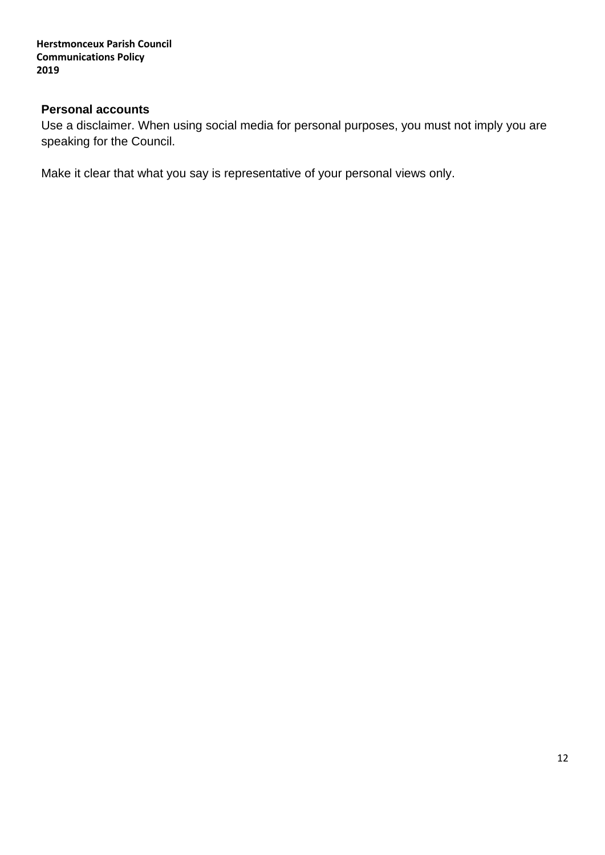**Herstmonceux Parish Council Communications Policy 2019**

# **Personal accounts**

Use a disclaimer. When using social media for personal purposes, you must not imply you are speaking for the Council.

Make it clear that what you say is representative of your personal views only.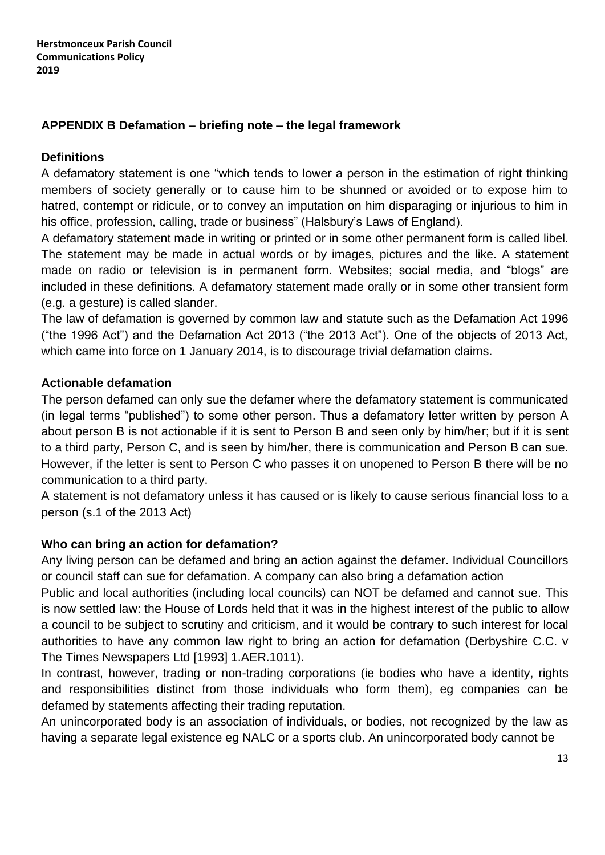# **APPENDIX B Defamation – briefing note – the legal framework**

# **Definitions**

A defamatory statement is one "which tends to lower a person in the estimation of right thinking members of society generally or to cause him to be shunned or avoided or to expose him to hatred, contempt or ridicule, or to convey an imputation on him disparaging or injurious to him in his office, profession, calling, trade or business" (Halsbury's Laws of England).

A defamatory statement made in writing or printed or in some other permanent form is called libel. The statement may be made in actual words or by images, pictures and the like. A statement made on radio or television is in permanent form. Websites; social media, and "blogs" are included in these definitions. A defamatory statement made orally or in some other transient form (e.g. a gesture) is called slander.

The law of defamation is governed by common law and statute such as the Defamation Act 1996 ("the 1996 Act") and the Defamation Act 2013 ("the 2013 Act"). One of the objects of 2013 Act, which came into force on 1 January 2014, is to discourage trivial defamation claims.

## **Actionable defamation**

The person defamed can only sue the defamer where the defamatory statement is communicated (in legal terms "published") to some other person. Thus a defamatory letter written by person A about person B is not actionable if it is sent to Person B and seen only by him/her; but if it is sent to a third party, Person C, and is seen by him/her, there is communication and Person B can sue. However, if the letter is sent to Person C who passes it on unopened to Person B there will be no communication to a third party.

A statement is not defamatory unless it has caused or is likely to cause serious financial loss to a person (s.1 of the 2013 Act)

# **Who can bring an action for defamation?**

Any living person can be defamed and bring an action against the defamer. Individual Councillors or council staff can sue for defamation. A company can also bring a defamation action

Public and local authorities (including local councils) can NOT be defamed and cannot sue. This is now settled law: the House of Lords held that it was in the highest interest of the public to allow a council to be subject to scrutiny and criticism, and it would be contrary to such interest for local authorities to have any common law right to bring an action for defamation (Derbyshire C.C. v The Times Newspapers Ltd [1993] 1.AER.1011).

In contrast, however, trading or non-trading corporations (ie bodies who have a identity, rights and responsibilities distinct from those individuals who form them), eg companies can be defamed by statements affecting their trading reputation.

An unincorporated body is an association of individuals, or bodies, not recognized by the law as having a separate legal existence eg NALC or a sports club. An unincorporated body cannot be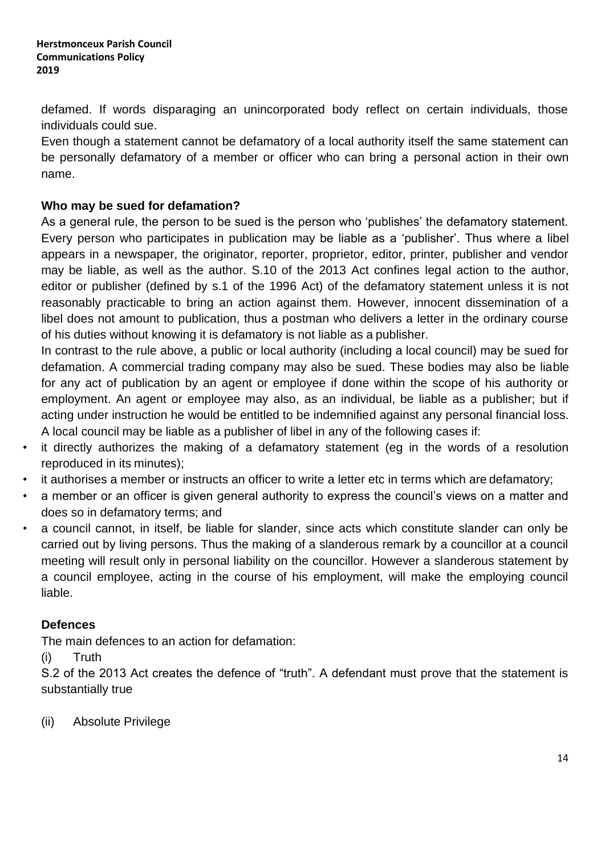defamed. If words disparaging an unincorporated body reflect on certain individuals, those individuals could sue.

Even though a statement cannot be defamatory of a local authority itself the same statement can be personally defamatory of a member or officer who can bring a personal action in their own name.

## **Who may be sued for defamation?**

As a general rule, the person to be sued is the person who 'publishes' the defamatory statement. Every person who participates in publication may be liable as a 'publisher'. Thus where a libel appears in a newspaper, the originator, reporter, proprietor, editor, printer, publisher and vendor may be liable, as well as the author. S.10 of the 2013 Act confines legal action to the author, editor or publisher (defined by s.1 of the 1996 Act) of the defamatory statement unless it is not reasonably practicable to bring an action against them. However, innocent dissemination of a libel does not amount to publication, thus a postman who delivers a letter in the ordinary course of his duties without knowing it is defamatory is not liable as a publisher.

In contrast to the rule above, a public or local authority (including a local council) may be sued for defamation. A commercial trading company may also be sued. These bodies may also be liable for any act of publication by an agent or employee if done within the scope of his authority or employment. An agent or employee may also, as an individual, be liable as a publisher; but if acting under instruction he would be entitled to be indemnified against any personal financial loss. A local council may be liable as a publisher of libel in any of the following cases if:

- it directly authorizes the making of a defamatory statement (eg in the words of a resolution reproduced in its minutes);
- it authorises a member or instructs an officer to write a letter etc in terms which are defamatory;
- a member or an officer is given general authority to express the council's views on a matter and does so in defamatory terms; and
- a council cannot, in itself, be liable for slander, since acts which constitute slander can only be carried out by living persons. Thus the making of a slanderous remark by a councillor at a council meeting will result only in personal liability on the councillor. However a slanderous statement by a council employee, acting in the course of his employment, will make the employing council liable.

# **Defences**

The main defences to an action for defamation:

(i) Truth

S.2 of the 2013 Act creates the defence of "truth". A defendant must prove that the statement is substantially true

(ii) Absolute Privilege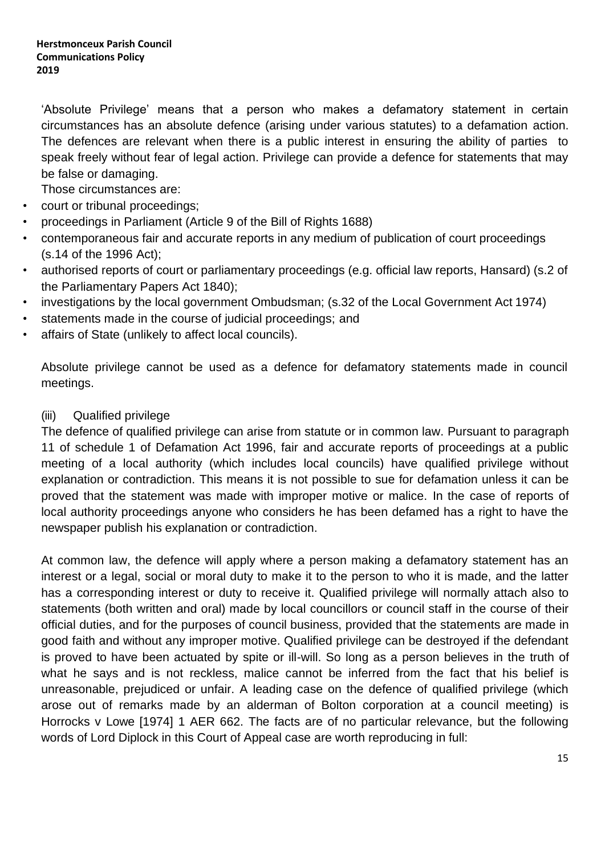'Absolute Privilege' means that a person who makes a defamatory statement in certain circumstances has an absolute defence (arising under various statutes) to a defamation action. The defences are relevant when there is a public interest in ensuring the ability of parties to speak freely without fear of legal action. Privilege can provide a defence for statements that may be false or damaging.

Those circumstances are:

- court or tribunal proceedings;
- proceedings in Parliament (Article 9 of the Bill of Rights 1688)
- contemporaneous fair and accurate reports in any medium of publication of court proceedings (s.14 of the 1996 Act);
- authorised reports of court or parliamentary proceedings (e.g. official law reports, Hansard) (s.2 of the Parliamentary Papers Act 1840);
- investigations by the local government Ombudsman; (s.32 of the Local Government Act 1974)
- statements made in the course of judicial proceedings; and
- affairs of State (unlikely to affect local councils).

Absolute privilege cannot be used as a defence for defamatory statements made in council meetings.

### (iii) Qualified privilege

The defence of qualified privilege can arise from statute or in common law. Pursuant to paragraph 11 of schedule 1 of Defamation Act 1996, fair and accurate reports of proceedings at a public meeting of a local authority (which includes local councils) have qualified privilege without explanation or contradiction. This means it is not possible to sue for defamation unless it can be proved that the statement was made with improper motive or malice. In the case of reports of local authority proceedings anyone who considers he has been defamed has a right to have the newspaper publish his explanation or contradiction.

At common law, the defence will apply where a person making a defamatory statement has an interest or a legal, social or moral duty to make it to the person to who it is made, and the latter has a corresponding interest or duty to receive it. Qualified privilege will normally attach also to statements (both written and oral) made by local councillors or council staff in the course of their official duties, and for the purposes of council business, provided that the statements are made in good faith and without any improper motive. Qualified privilege can be destroyed if the defendant is proved to have been actuated by spite or ill-will. So long as a person believes in the truth of what he says and is not reckless, malice cannot be inferred from the fact that his belief is unreasonable, prejudiced or unfair. A leading case on the defence of qualified privilege (which arose out of remarks made by an alderman of Bolton corporation at a council meeting) is Horrocks v Lowe [1974] 1 AER 662. The facts are of no particular relevance, but the following words of Lord Diplock in this Court of Appeal case are worth reproducing in full: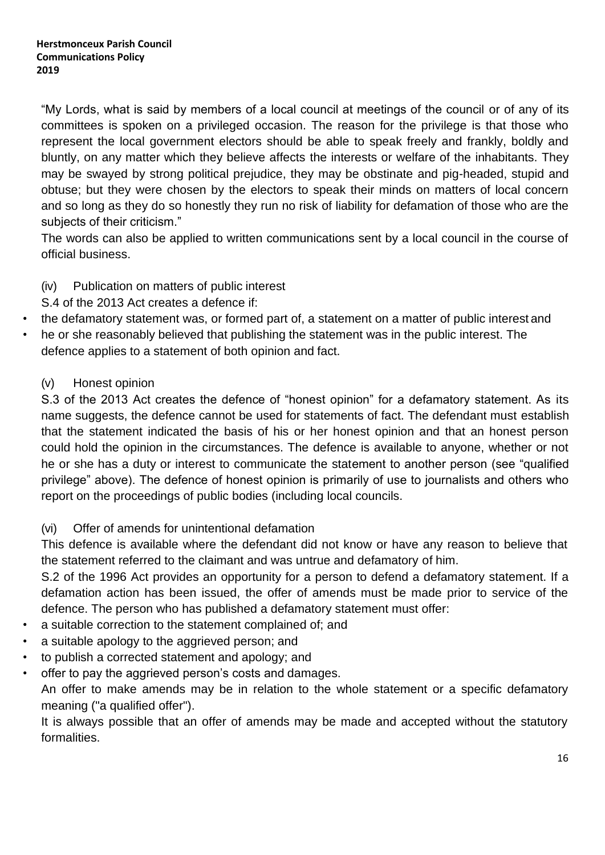"My Lords, what is said by members of a local council at meetings of the council or of any of its committees is spoken on a privileged occasion. The reason for the privilege is that those who represent the local government electors should be able to speak freely and frankly, boldly and bluntly, on any matter which they believe affects the interests or welfare of the inhabitants. They may be swayed by strong political prejudice, they may be obstinate and pig-headed, stupid and obtuse; but they were chosen by the electors to speak their minds on matters of local concern and so long as they do so honestly they run no risk of liability for defamation of those who are the subjects of their criticism."

The words can also be applied to written communications sent by a local council in the course of official business.

- (iv) Publication on matters of public interest
- S.4 of the 2013 Act creates a defence if:
- the defamatory statement was, or formed part of, a statement on a matter of public interest and
- he or she reasonably believed that publishing the statement was in the public interest. The defence applies to a statement of both opinion and fact.
	- (v) Honest opinion

S.3 of the 2013 Act creates the defence of "honest opinion" for a defamatory statement. As its name suggests, the defence cannot be used for statements of fact. The defendant must establish that the statement indicated the basis of his or her honest opinion and that an honest person could hold the opinion in the circumstances. The defence is available to anyone, whether or not he or she has a duty or interest to communicate the statement to another person (see "qualified privilege" above). The defence of honest opinion is primarily of use to journalists and others who report on the proceedings of public bodies (including local councils.

(vi) Offer of amends for unintentional defamation

This defence is available where the defendant did not know or have any reason to believe that the statement referred to the claimant and was untrue and defamatory of him.

S.2 of the 1996 Act provides an opportunity for a person to defend a defamatory statement. If a defamation action has been issued, the offer of amends must be made prior to service of the defence. The person who has published a defamatory statement must offer:

- a suitable correction to the statement complained of; and
- a suitable apology to the aggrieved person; and
- to publish a corrected statement and apology; and
- offer to pay the aggrieved person's costs and damages.

An offer to make amends may be in relation to the whole statement or a specific defamatory meaning ("a qualified offer").

It is always possible that an offer of amends may be made and accepted without the statutory formalities.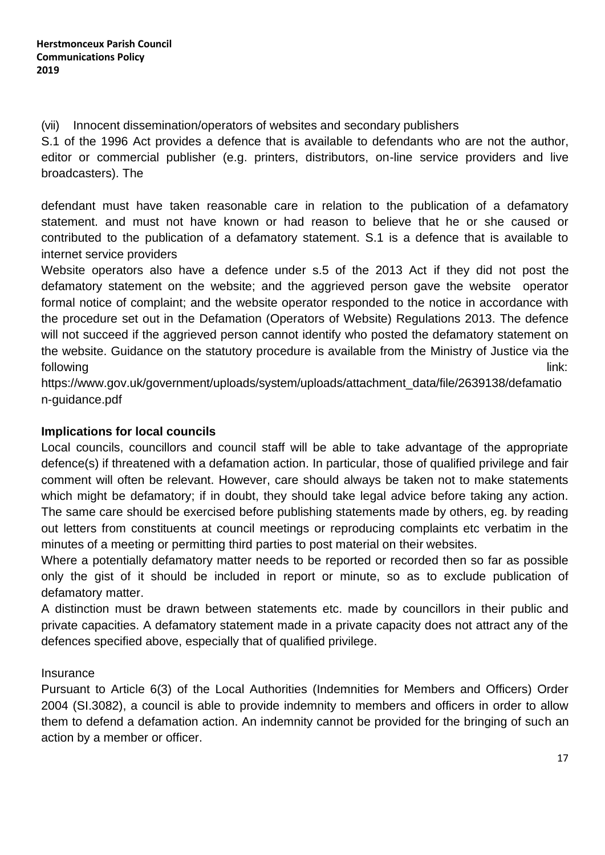(vii) Innocent dissemination/operators of websites and secondary publishers

S.1 of the 1996 Act provides a defence that is available to defendants who are not the author, editor or commercial publisher (e.g. printers, distributors, on-line service providers and live broadcasters). The

defendant must have taken reasonable care in relation to the publication of a defamatory statement. and must not have known or had reason to believe that he or she caused or contributed to the publication of a defamatory statement. S.1 is a defence that is available to internet service providers

Website operators also have a defence under s.5 of the 2013 Act if they did not post the defamatory statement on the website; and the aggrieved person gave the website operator formal notice of complaint; and the website operator responded to the notice in accordance with the procedure set out in the Defamation (Operators of Website) Regulations 2013. The defence will not succeed if the aggrieved person cannot identify who posted the defamatory statement on the website. Guidance on the statutory procedure is available from the Ministry of Justice via the following link: which is a state of the control of the control of the control of the control of the control of

https:[//www.gov.uk/government/uploads/system/uploads/attachment\\_data/file/2639138/defamatio](http://www.gov.uk/government/uploads/system/uploads/attachment_data/file/2639138/defamatio) n-guidance.pdf

# **Implications for local councils**

Local councils, councillors and council staff will be able to take advantage of the appropriate defence(s) if threatened with a defamation action. In particular, those of qualified privilege and fair comment will often be relevant. However, care should always be taken not to make statements which might be defamatory; if in doubt, they should take legal advice before taking any action. The same care should be exercised before publishing statements made by others, eg. by reading out letters from constituents at council meetings or reproducing complaints etc verbatim in the minutes of a meeting or permitting third parties to post material on their websites.

Where a potentially defamatory matter needs to be reported or recorded then so far as possible only the gist of it should be included in report or minute, so as to exclude publication of defamatory matter.

A distinction must be drawn between statements etc. made by councillors in their public and private capacities. A defamatory statement made in a private capacity does not attract any of the defences specified above, especially that of qualified privilege.

# **Insurance**

Pursuant to Article 6(3) of the Local Authorities (Indemnities for Members and Officers) Order 2004 (SI.3082), a council is able to provide indemnity to members and officers in order to allow them to defend a defamation action. An indemnity cannot be provided for the bringing of such an action by a member or officer.